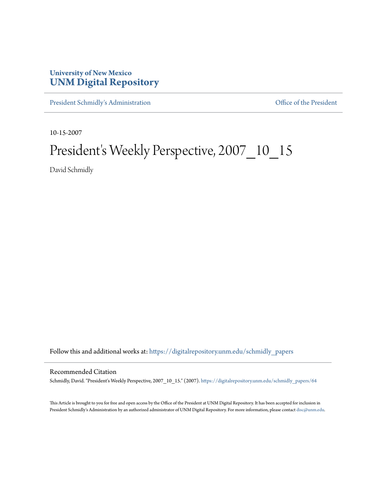## **University of New Mexico [UNM Digital Repository](https://digitalrepository.unm.edu?utm_source=digitalrepository.unm.edu%2Fschmidly_papers%2F64&utm_medium=PDF&utm_campaign=PDFCoverPages)**

[President Schmidly's Administration](https://digitalrepository.unm.edu/schmidly_papers?utm_source=digitalrepository.unm.edu%2Fschmidly_papers%2F64&utm_medium=PDF&utm_campaign=PDFCoverPages) [Office of the President](https://digitalrepository.unm.edu/ofc_president?utm_source=digitalrepository.unm.edu%2Fschmidly_papers%2F64&utm_medium=PDF&utm_campaign=PDFCoverPages)

10-15-2007

## President's Weekly Perspective, 2007\_10\_15

David Schmidly

Follow this and additional works at: [https://digitalrepository.unm.edu/schmidly\\_papers](https://digitalrepository.unm.edu/schmidly_papers?utm_source=digitalrepository.unm.edu%2Fschmidly_papers%2F64&utm_medium=PDF&utm_campaign=PDFCoverPages)

## Recommended Citation

Schmidly, David. "President's Weekly Perspective, 2007\_10\_15." (2007). [https://digitalrepository.unm.edu/schmidly\\_papers/64](https://digitalrepository.unm.edu/schmidly_papers/64?utm_source=digitalrepository.unm.edu%2Fschmidly_papers%2F64&utm_medium=PDF&utm_campaign=PDFCoverPages)

This Article is brought to you for free and open access by the Office of the President at UNM Digital Repository. It has been accepted for inclusion in President Schmidly's Administration by an authorized administrator of UNM Digital Repository. For more information, please contact [disc@unm.edu](mailto:disc@unm.edu).